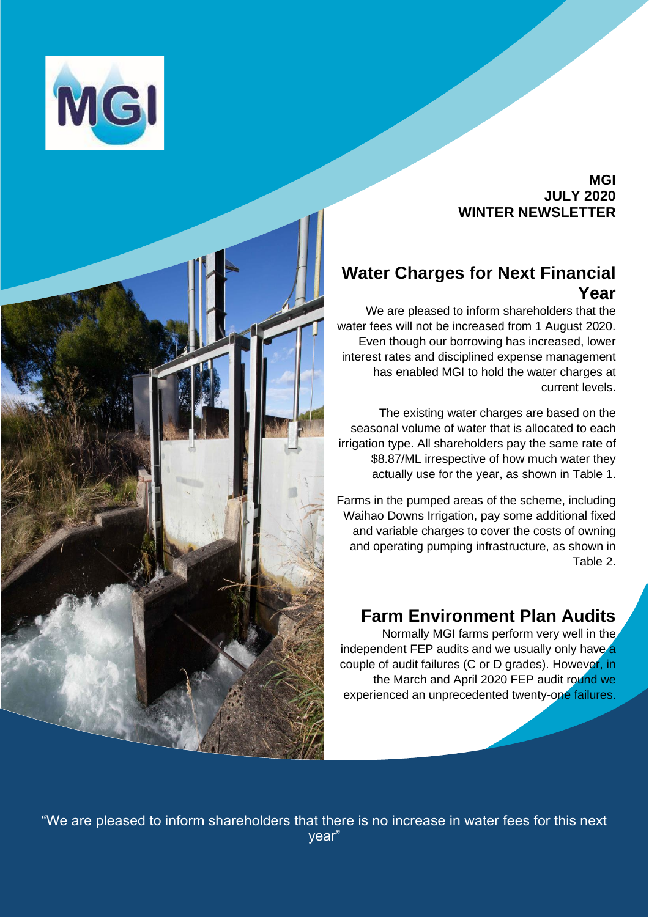

#### **MGI JULY 2020 WINTER NEWSLETTER**

## **Water Charges for Next Financial Year**

We are pleased to inform shareholders that the water fees will not be increased from 1 August 2020. Even though our borrowing has increased, lower interest rates and disciplined expense management has enabled MGI to hold the water charges at current levels.

The existing water charges are based on the seasonal volume of water that is allocated to each irrigation type. All shareholders pay the same rate of \$8.87/ML irrespective of how much water they actually use for the year, as shown in Table 1.

Farms in the pumped areas of the scheme, including Waihao Downs Irrigation, pay some additional fixed and variable charges to cover the costs of owning and operating pumping infrastructure, as shown in Table 2.

### **Farm Environment Plan Audits**

Normally MGI farms perform very well in the independent FEP audits and we usually only have a couple of audit failures (C or D grades). However, in the March and April 2020 FEP audit round we experienced an unprecedented twenty-one failures.



"We are pleased to inform shareholders that there is no increase in water fees for this next year"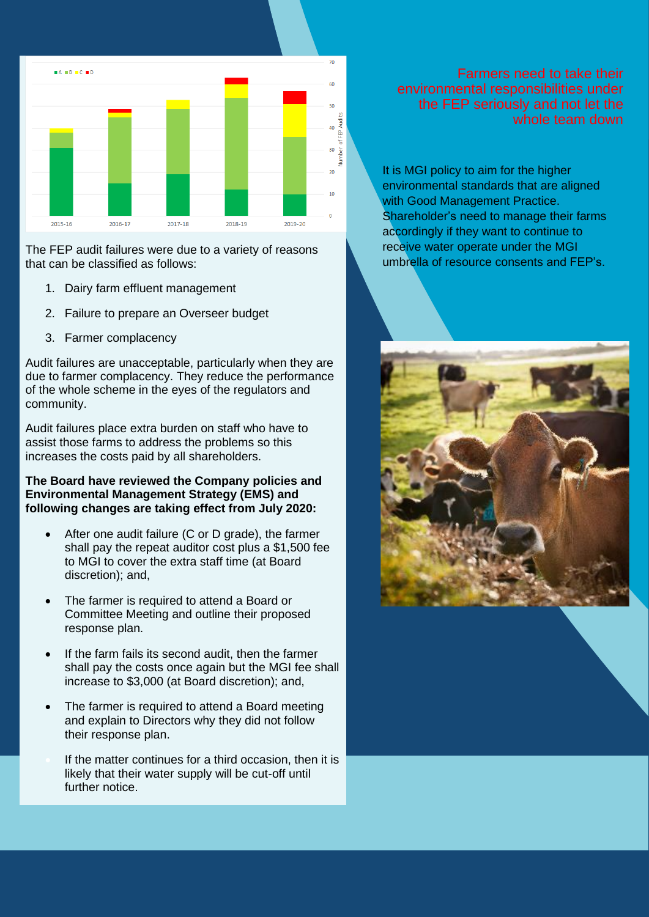

The FEP audit failures were due to a variety of reasons that can be classified as follows:

- 1. Dairy farm effluent management
- 2. Failure to prepare an Overseer budget
- 3. Farmer complacency

Audit failures are unacceptable, particularly when they are due to farmer complacency. They reduce the performance of the whole scheme in the eyes of the regulators and community.

Audit failures place extra burden on staff who have to assist those farms to address the problems so this increases the costs paid by all shareholders.

#### **The Board have reviewed the Company policies and Environmental Management Strategy (EMS) and following changes are taking effect from July 2020:**

- After one audit failure (C or D grade), the farmer shall pay the repeat auditor cost plus a \$1,500 fee to MGI to cover the extra staff time (at Board discretion); and,
- The farmer is required to attend a Board or Committee Meeting and outline their proposed response plan.
- If the farm fails its second audit, then the farmer shall pay the costs once again but the MGI fee shall increase to \$3,000 (at Board discretion); and,
- The farmer is required to attend a Board meeting and explain to Directors why they did not follow their response plan.
- If the matter continues for a third occasion, then it is likely that their water supply will be cut-off until further notice.

Farmers need to take their environmental responsibilities under the FEP seriously and not let the whole team down

It is MGI policy to aim for the higher environmental standards that are aligned with Good Management Practice. Shareholder's need to manage their farms accordingly if they want to continue to receive water operate under the MGI umbrella of resource consents and FEP's.

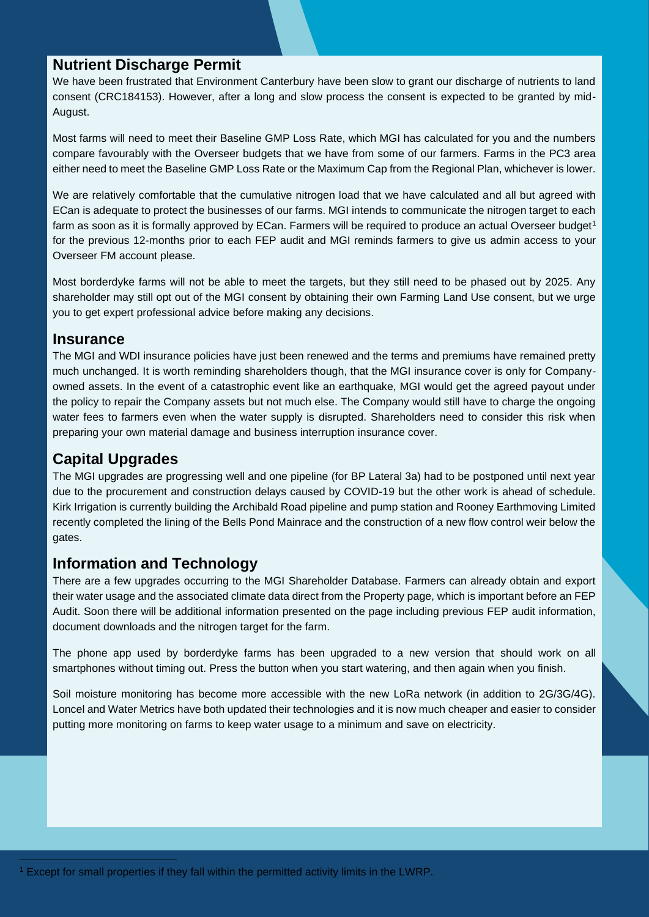### **Nutrient Discharge Permit**

We have been frustrated that Environment Canterbury have been slow to grant our discharge of nutrients to land consent (CRC184153). However, after a long and slow process the consent is expected to be granted by mid-August.

Most farms will need to meet their Baseline GMP Loss Rate, which MGI has calculated for you and the numbers compare favourably with the Overseer budgets that we have from some of our farmers. Farms in the PC3 area either need to meet the Baseline GMP Loss Rate or the Maximum Cap from the Regional Plan, whichever is lower.

We are relatively comfortable that the cumulative nitrogen load that we have calculated and all but agreed with ECan is adequate to protect the businesses of our farms. MGI intends to communicate the nitrogen target to each farm as soon as it is formally approved by ECan. Farmers will be required to produce an actual Overseer budget<sup>1</sup> for the previous 12-months prior to each FEP audit and MGI reminds farmers to give us admin access to your Overseer FM account please.

Most borderdyke farms will not be able to meet the targets, but they still need to be phased out by 2025. Any shareholder may still opt out of the MGI consent by obtaining their own Farming Land Use consent, but we urge you to get expert professional advice before making any decisions.

#### **Insurance**

The MGI and WDI insurance policies have just been renewed and the terms and premiums have remained pretty much unchanged. It is worth reminding shareholders though, that the MGI insurance cover is only for Companyowned assets. In the event of a catastrophic event like an earthquake, MGI would get the agreed payout under the policy to repair the Company assets but not much else. The Company would still have to charge the ongoing water fees to farmers even when the water supply is disrupted. Shareholders need to consider this risk when preparing your own material damage and business interruption insurance cover.

### **Capital Upgrades**

The MGI upgrades are progressing well and one pipeline (for BP Lateral 3a) had to be postponed until next year due to the procurement and construction delays caused by COVID-19 but the other work is ahead of schedule. Kirk Irrigation is currently building the Archibald Road pipeline and pump station and Rooney Earthmoving Limited recently completed the lining of the Bells Pond Mainrace and the construction of a new flow control weir below the gates.

### **Information and Technology**

There are a few upgrades occurring to the MGI Shareholder Database. Farmers can already obtain and export their water usage and the associated climate data direct from the Property page, which is important before an FEP Audit. Soon there will be additional information presented on the page including previous FEP audit information, document downloads and the nitrogen target for the farm.

The phone app used by borderdyke farms has been upgraded to a new version that should work on all smartphones without timing out. Press the button when you start watering, and then again when you finish.

Soil moisture monitoring has become more accessible with the new LoRa network (in addition to 2G/3G/4G). Loncel and Water Metrics have both updated their technologies and it is now much cheaper and easier to consider putting more monitoring on farms to keep water usage to a minimum and save on electricity.